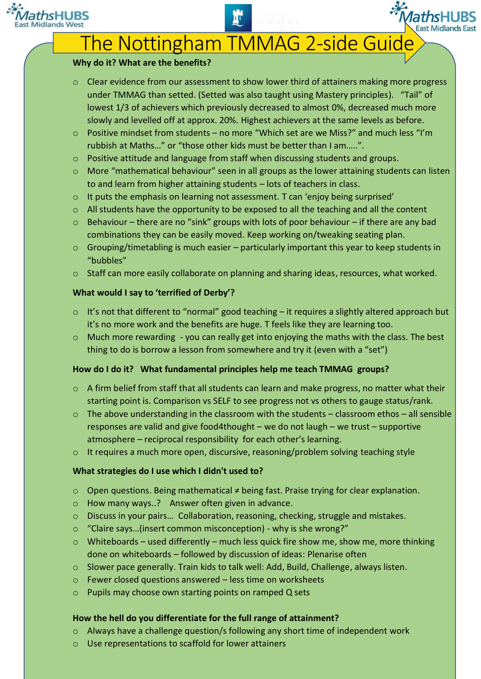

# The Nottingham TMMAG 2-side Guide

## **Why do it? What are the benefits?**

- o Clear evidence from our assessment to show lower third of attainers making more progress under TMMAG than setted. (Setted was also taught using Mastery principles)."Tail" of lowest 1/3 of achievers which previously decreased to almost 0%, decreased much more slowly and levelled off at approx. 20%. Highest achievers at the same levels as before.
- $\circ$  Positive mindset from students no more "Which set are we Miss?" and much less "I'm rubbish at Maths…" or "those other kids must be better than I am…..".
- $\circ$  Positive attitude and language from staff when discussing students and groups.
- $\circ$  More "mathematical behaviour" seen in all groups as the lower attaining students can listen to and learn from higher attaining students – lots of teachers in class.
- o It puts the emphasis on learning not assessment. T can 'enjoy being surprised'
- o All students have the opportunity to be exposed to all the teaching and all the content
- o Behaviour there are no "sink" groups with lots of poor behaviour if there are any bad combinations they can be easily moved. Keep working on/tweaking seating plan.
- o Grouping/timetabling is much easier particularly important this year to keep students in "bubbles"
- o Staff can more easily collaborate on planning and sharing ideas, resources, what worked.

# **What would I say to 'terrified of Derby'?**

- $\circ$  It's not that different to "normal" good teaching it requires a slightly altered approach but it's no more work and the benefits are huge. T feels like they are learning too.
- $\circ$  Much more rewarding you can really get into enjoying the maths with the class. The best thing to do is borrow a lesson from somewhere and try it (even with a "set")

# **How do I do it? What fundamental principles help me teach TMMAG groups?**

- o A firm belief from staff that all students can learn and make progress, no matter what their starting point is. Comparison vs SELF to see progress not vs others to gauge status/rank.
- $\circ$  The above understanding in the classroom with the students classroom ethos all sensible responses are valid and give food4thought – we do not laugh – we trust – supportive atmosphere – reciprocal responsibility for each other's learning.
- $\circ$  It requires a much more open, discursive, reasoning/problem solving teaching style

# **What strategies do I use which I didn't used to?**

- o Open questions. Being mathematical ≠ being fast. Praise trying for clear explanation.
- o How many ways..? Answer often given in advance.
- o Discuss in your pairs… Collaboration, reasoning, checking, struggle and mistakes.
- o "Claire says…(insert common misconception) why is she wrong?"
- $\circ$  Whiteboards used differently much less quick fire show me, show me, more thinking done on whiteboards – followed by discussion of ideas: Plenarise often
- $\circ$  Slower pace generally. Train kids to talk well: Add, Build, Challenge, always listen.
- o Fewer closed questions answered less time on worksheets
- o Pupils may choose own starting points on ramped Q sets

# **How the hell do you differentiate for the full range of attainment?**

- $\circ$  Always have a challenge question/s following any short time of independent work
- o Use representations to scaffold for lower attainers